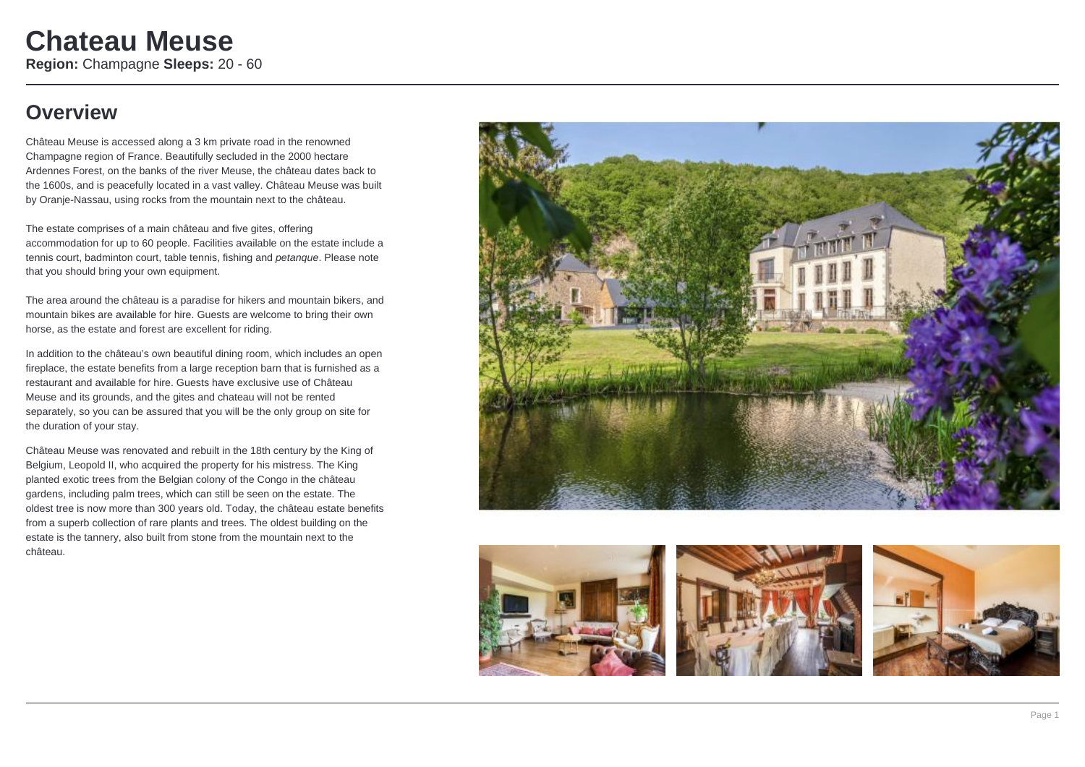## **Overview**

Château Meuse is accessed along a 3 km private road in the renowned Champagne region of France. Beautifully secluded in the 2000 hectare Ardennes Forest, on the banks of the river Meuse, the château dates back to the 1600s, and is peacefully located in a vast valley. Château Meuse was built by Oranje-Nassau, using rocks from the mountain next to the château.

The estate comprises of a main château and five gites, offering accommodation for up to 60 people. Facilities available on the estate include a tennis court, badminton court, table tennis, fishing and *petanque*. Please note that you should bring your own equipment.

The area around the château is a paradise for hikers and mountain bikers, and mountain bikes are available for hire. Guests are welcome to bring their own horse, as the estate and forest are excellent for riding.

In addition to the château's own beautiful dining room, which includes an open fireplace, the estate benefits from a large reception barn that is furnished as a restaurant and available for hire. Guests have exclusive use of Château Meuse and its grounds, and the gites and chateau will not be rented separately, so you can be assured that you will be the only group on site for the duration of your stay.

Château Meuse was renovated and rebuilt in the 18th century by the King of Belgium, Leopold II, who acquired the property for his mistress. The King planted exotic trees from the Belgian colony of the Congo in the château gardens, including palm trees, which can still be seen on the estate. The oldest tree is now more than 300 years old. Today, the château estate benefits from a superb collection of rare plants and trees. The oldest building on the estate is the tannery, also built from stone from the mountain next to the château.



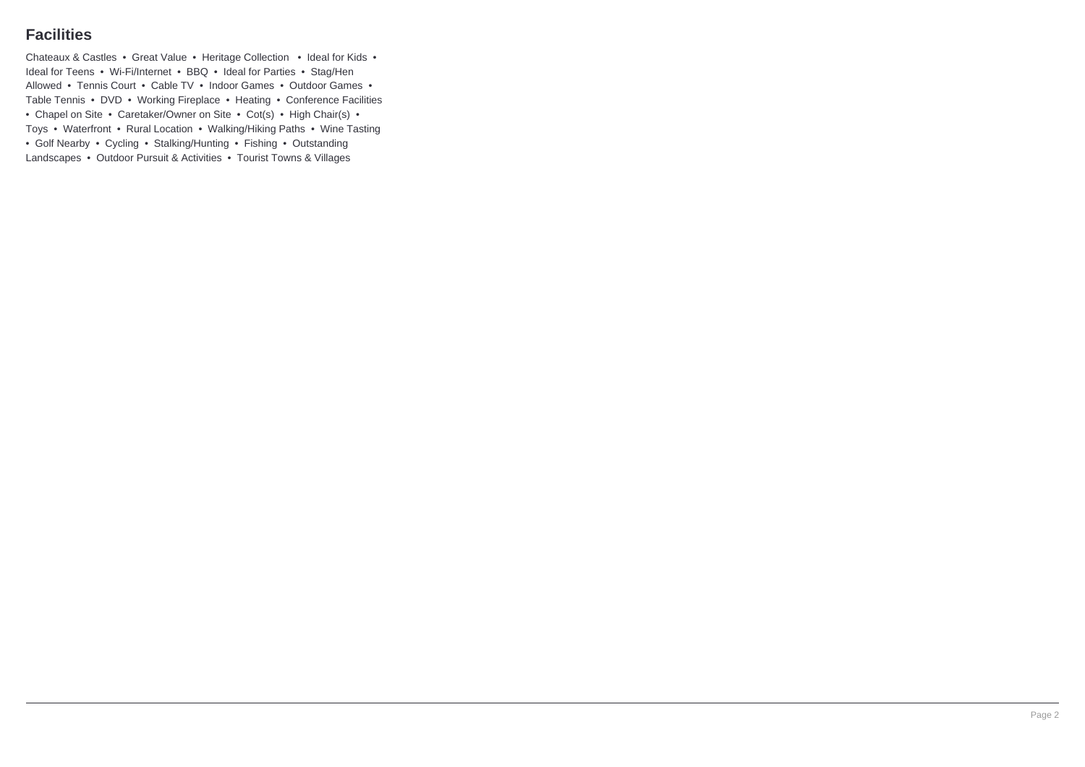## **Facilities**

Chateaux & Castles • Great Value • Heritage Collection • Ideal for Kids • Ideal for Teens • Wi-Fi/Internet • BBQ • Ideal for Parties • Stag/Hen Allowed • Tennis Court • Cable TV • Indoor Games • Outdoor Games • Table Tennis • DVD • Working Fireplace • Heating • Conference Facilities • Chapel on Site • Caretaker/Owner on Site • Cot(s) • High Chair(s) • Toys • Waterfront • Rural Location • Walking/Hiking Paths • Wine Tasting • Golf Nearby • Cycling • Stalking/Hunting • Fishing • Outstanding Landscapes • Outdoor Pursuit & Activities • Tourist Towns & Villages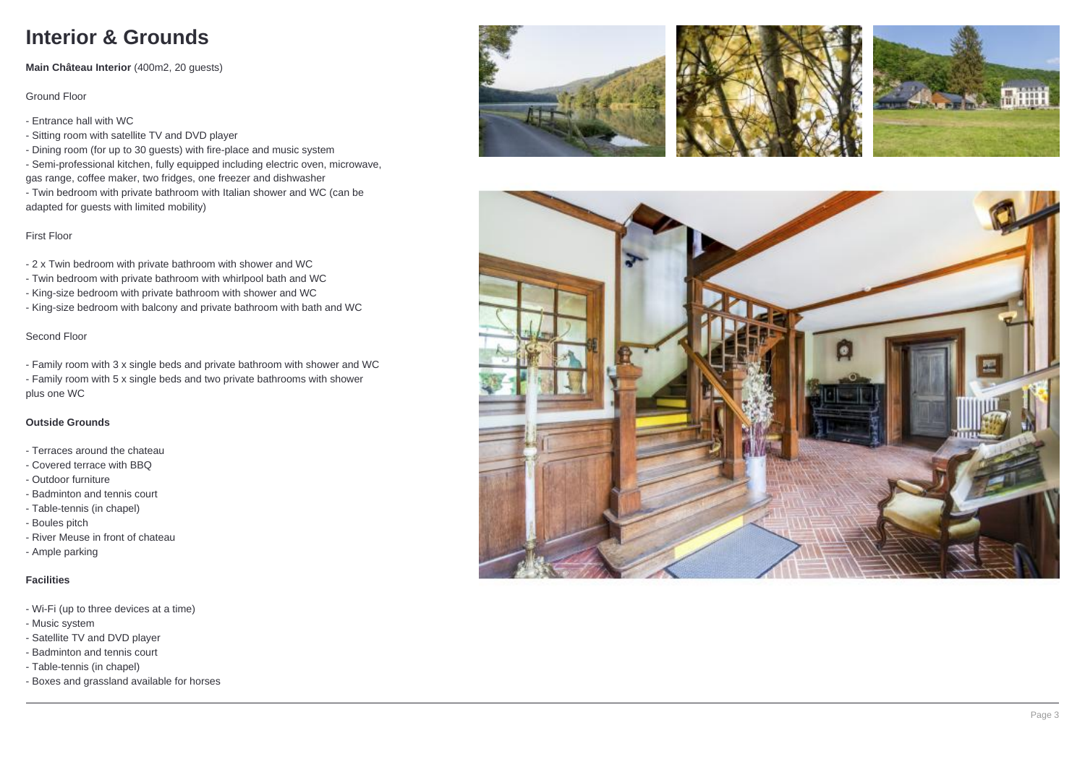# **Interior & Grounds**

**Main Château Interior** (400m2, 20 guests)

Ground Floor

- Entrance hall with WC

- Sitting room with satellite TV and DVD player

- Dining room (for up to 30 guests) with fire-place and music system

- Semi-professional kitchen, fully equipped including electric oven, microwave, gas range, coffee maker, two fridges, one freezer and dishwasher

- Twin bedroom with private bathroom with Italian shower and WC (can be adapted for guests with limited mobility)

First Floor

- 2 x Twin bedroom with private bathroom with shower and WC

- Twin bedroom with private bathroom with whirlpool bath and WC
- King-size bedroom with private bathroom with shower and WC
- King-size bedroom with balcony and private bathroom with bath and WC

## Second Floor

- Family room with 3 x single beds and private bathroom with shower and WC - Family room with 5 x single beds and two private bathrooms with shower plus one WC

## **Outside Grounds**

- Terraces around the chateau

- Covered terrace with BBQ
- Outdoor furniture
- Badminton and tennis court
- Table-tennis (in chapel)
- Boules pitch
- River Meuse in front of chateau
- Ample parking

## **Facilities**

- Wi-Fi (up to three devices at a time)
- Music system
- Satellite TV and DVD player
- Badminton and tennis court
- Table-tennis (in chapel)
- Boxes and grassland available for horses







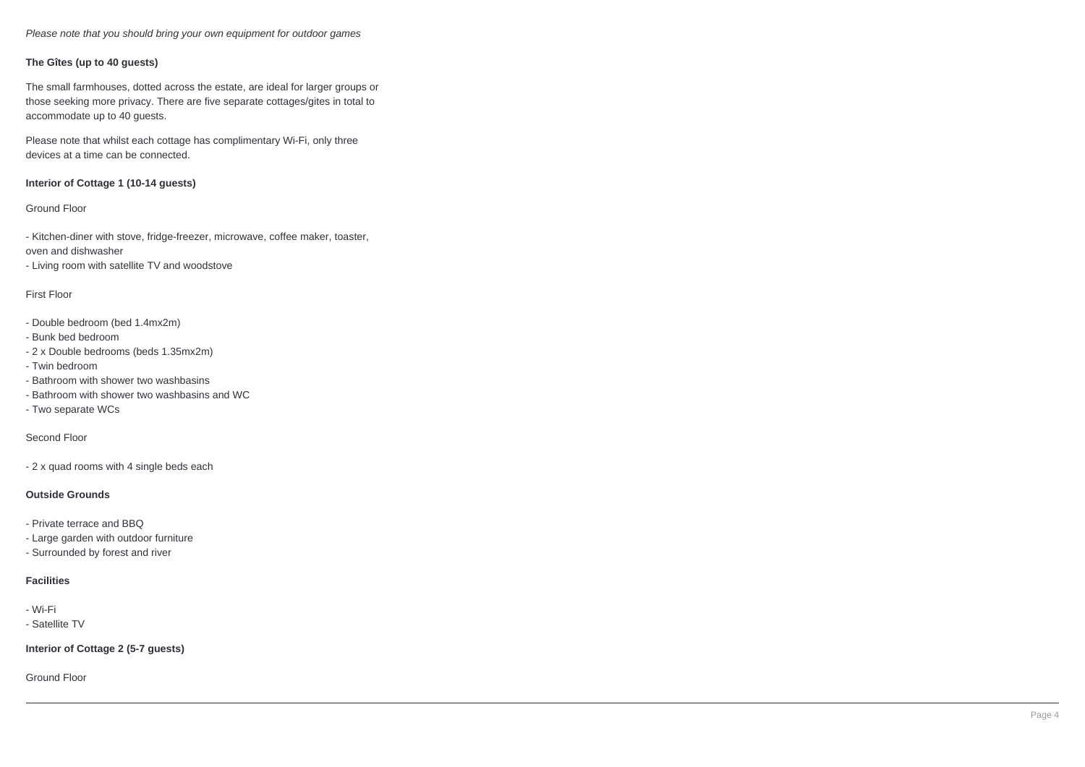Please note that you should bring your own equipment for outdoor games

#### **The Gîtes (up to 40 guests)**

The small farmhouses, dotted across the estate, are ideal for larger groups or those seeking more privacy. There are five separate cottages/gites in total to accommodate up to 40 guests.

Please note that whilst each cottage has complimentary Wi-Fi, only three devices at a time can be connected.

#### **Interior of Cottage 1 (10-14 guests)**

#### Ground Floor

- Kitchen-diner with stove, fridge-freezer, microwave, coffee maker, toaster, oven and dishwasher - Living room with satellite TV and woodstove

#### First Floor

- Double bedroom (bed 1.4mx2m)
- Bunk bed bedroom
- 2 x Double bedrooms (beds 1.35mx2m)
- Twin bedroom
- Bathroom with shower two washbasins
- Bathroom with shower two washbasins and WC
- Two separate WCs

#### Second Floor

- 2 x quad rooms with 4 single beds each

#### **Outside Grounds**

- Private terrace and BBQ
- Large garden with outdoor furniture
- Surrounded by forest and river

#### **Facilities**

- Wi-Fi
- Satellite TV

**Interior of Cottage 2 (5-7 guests)**

Ground Floor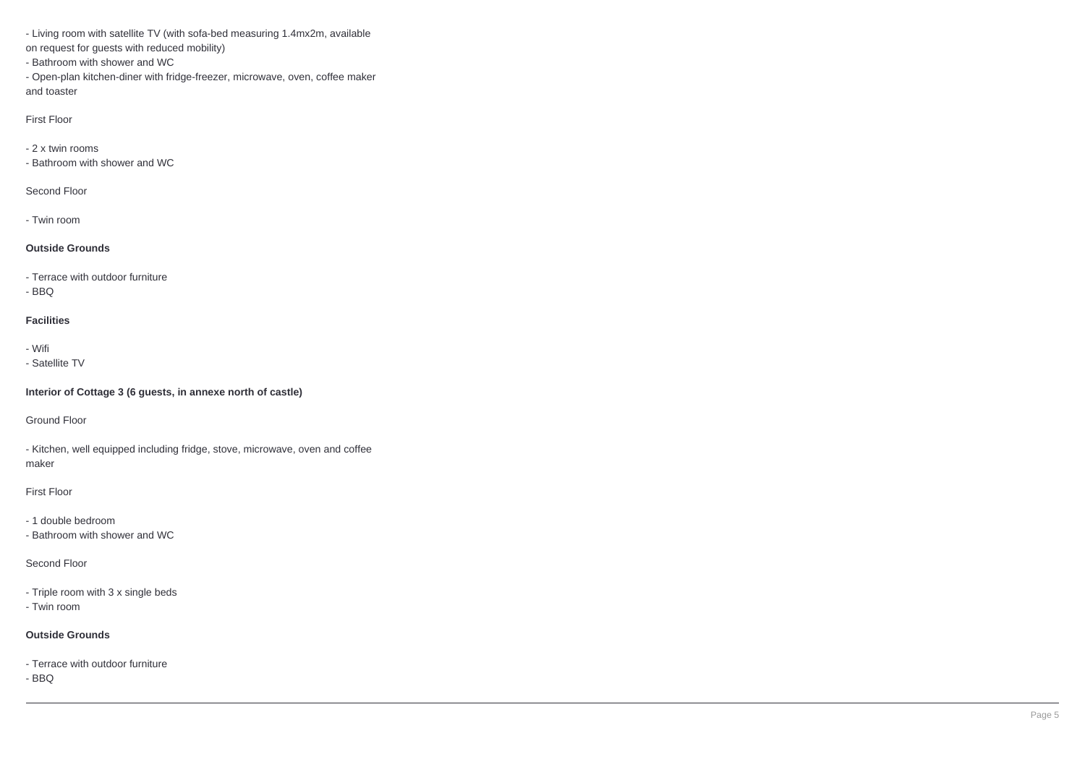- Living room with satellite TV (with sofa-bed measuring 1.4mx2m, available

on request for guests with reduced mobility)

- Bathroom with shower and WC

- Open-plan kitchen-diner with fridge-freezer, microwave, oven, coffee maker and toaster

First Floor

- 2 x twin rooms

- Bathroom with shower and WC

Second Floor

- Twin room

## **Outside Grounds**

- Terrace with outdoor furniture

- BBQ

## **Facilities**

- Wifi

- Satellite TV

**Interior of Cottage 3 (6 guests, in annexe north of castle)**

Ground Floor

- Kitchen, well equipped including fridge, stove, microwave, oven and coffee maker

First Floor

- 1 double bedroom

- Bathroom with shower and WC

Second Floor

- Triple room with 3 x single beds

- Twin room

## **Outside Grounds**

- Terrace with outdoor furniture

- BBQ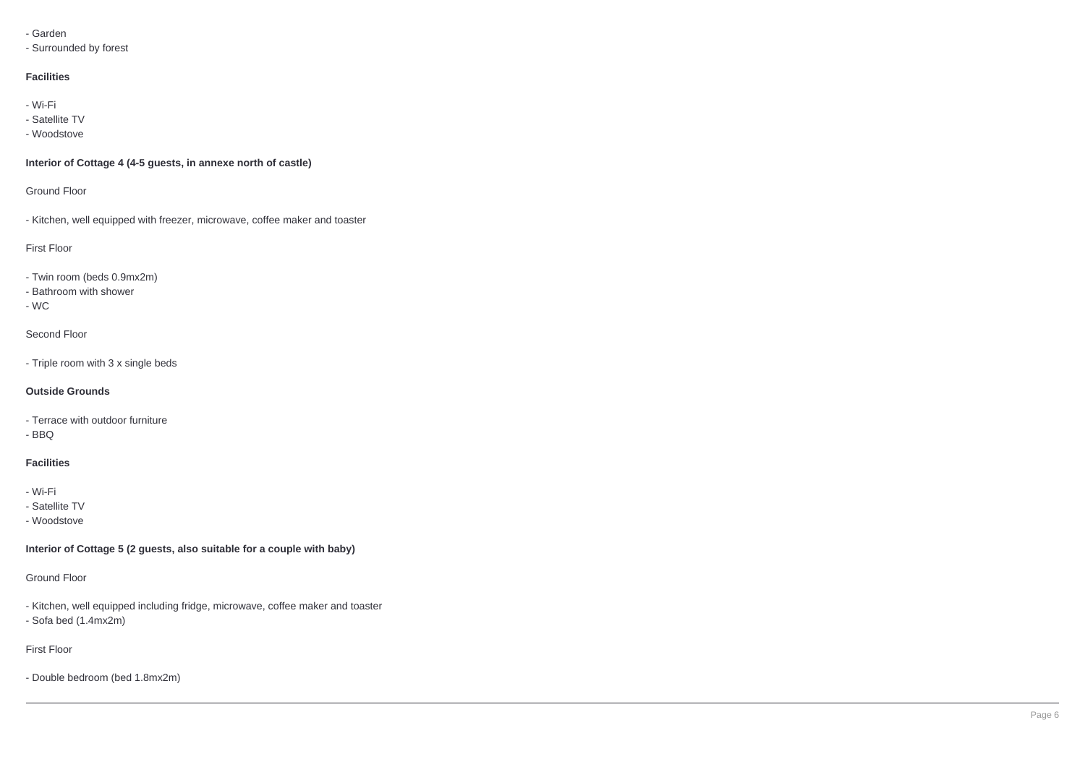#### - Garden

- Surrounded by forest

### **Facilities**

- Wi-Fi

- Satellite TV
- Woodstove

## **Interior of Cottage 4 (4-5 guests, in annexe north of castle)**

Ground Floor

- Kitchen, well equipped with freezer, microwave, coffee maker and toaster

First Floor

- Twin room (beds 0.9mx2m)

- Bathroom with shower

- WC

Second Floor

- Triple room with 3 x single beds

## **Outside Grounds**

- Terrace with outdoor furniture

- BBQ

## **Facilities**

- Wi-Fi

- Satellite TV

- Woodstove

**Interior of Cottage 5 (2 guests, also suitable for a couple with baby)**

Ground Floor

- Kitchen, well equipped including fridge, microwave, coffee maker and toaster - Sofa bed (1.4mx2m)

First Floor

- Double bedroom (bed 1.8mx2m)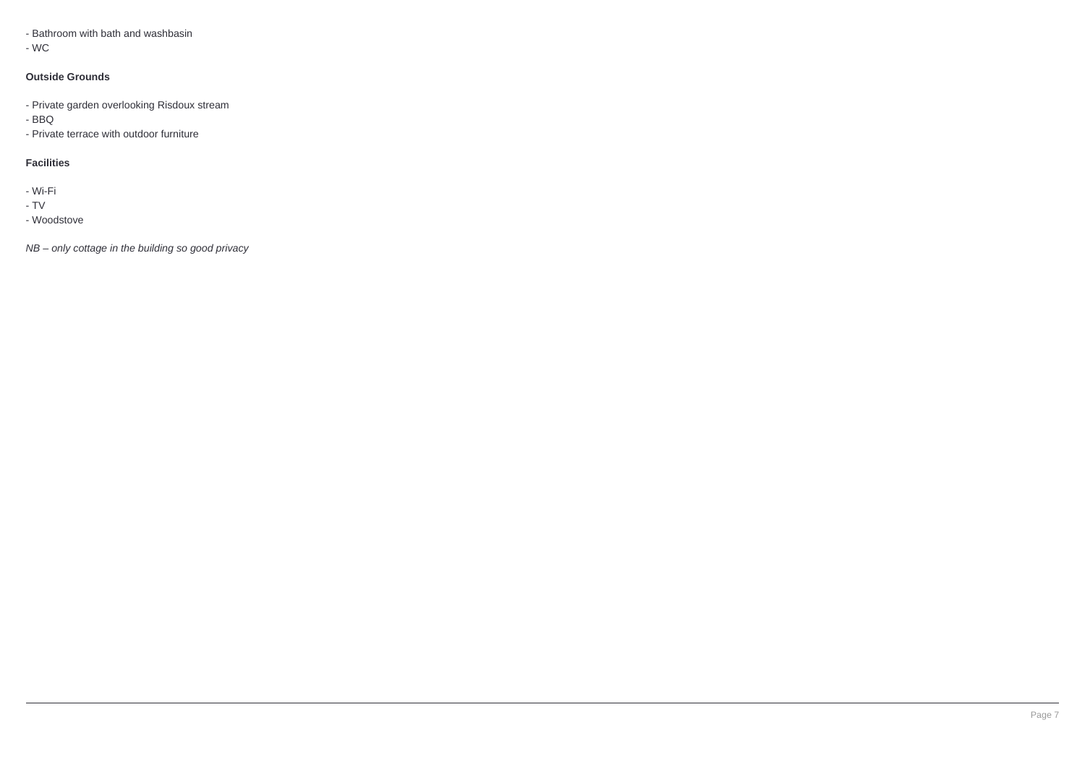- Bathroom with bath and washbasin

- WC

#### **Outside Grounds**

- Private garden overlooking Risdoux stream
- BBQ
- Private terrace with outdoor furniture

#### **Facilities**

- Wi-Fi

- TV
- Woodstove

NB – only cottage in the building so good privacy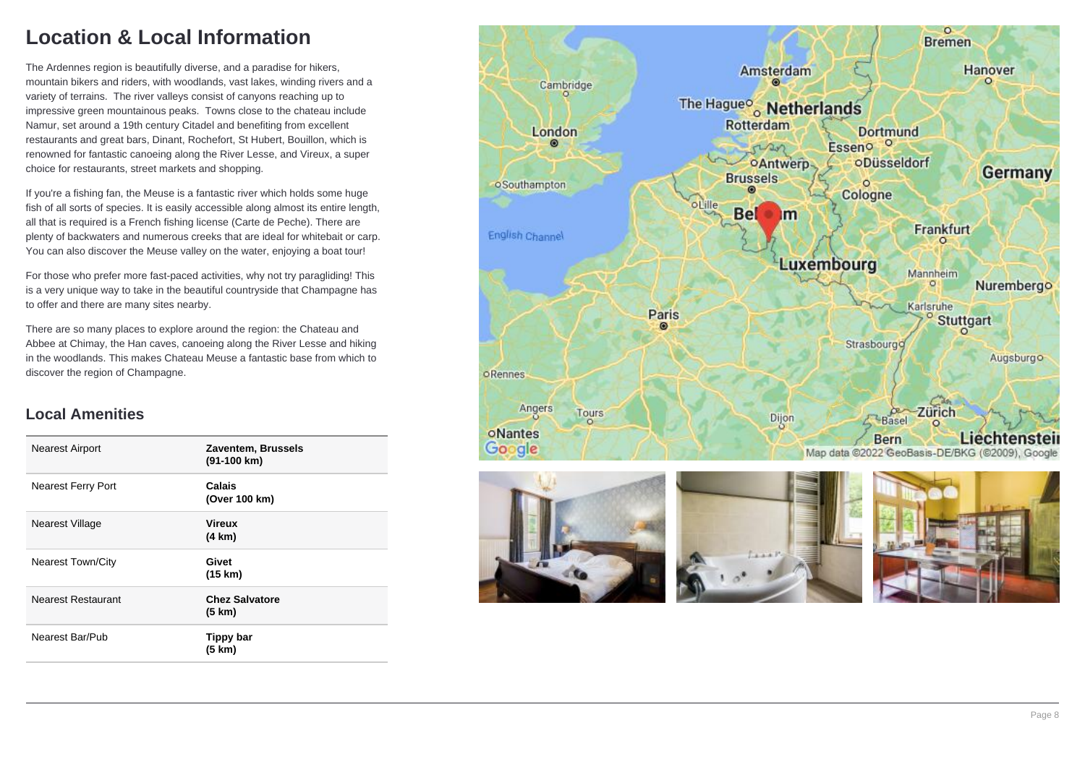## **Location & Local Information**

The Ardennes region is beautifully diverse, and a paradise for hikers, mountain bikers and riders, with woodlands, vast lakes, winding rivers and a variety of terrains. The river valleys consist of canyons reaching up to impressive green mountainous peaks. Towns close to the chateau include Namur, set around a 19th century Citadel and benefiting from excellent restaurants and great bars, Dinant, Rochefort, St Hubert, Bouillon, which is renowned for fantastic canoeing along the River Lesse, and Vireux, a super choice for restaurants, street markets and shopping.

If you're a fishing fan, the Meuse is a fantastic river which holds some huge fish of all sorts of species. It is easily accessible along almost its entire length, all that is required is a French fishing license (Carte de Peche). There are plenty of backwaters and numerous creeks that are ideal for whitebait or carp. You can also discover the Meuse valley on the water, enjoying a boat tour!

For those who prefer more fast-paced activities, why not try paragliding! This is a very unique way to take in the beautiful countryside that Champagne has to offer and there are many sites nearby.

There are so many places to explore around the region: the Chateau and Abbee at Chimay, the Han caves, canoeing along the River Lesse and hiking in the woodlands. This makes Chateau Meuse a fantastic base from which to discover the region of Champagne.

## **Local Amenities**

| <b>Nearest Airport</b>    | Zaventem, Brussels<br>(91-100 km) |
|---------------------------|-----------------------------------|
| <b>Nearest Ferry Port</b> | Calais<br>(Over 100 km)           |
| Nearest Village           | <b>Vireux</b><br>$(4 \text{ km})$ |
| <b>Nearest Town/City</b>  | Givet<br>(15 km)                  |
| <b>Nearest Restaurant</b> | <b>Chez Salvatore</b><br>(5 km)   |
| Nearest Bar/Pub           | Tippy bar<br>(5 km)               |

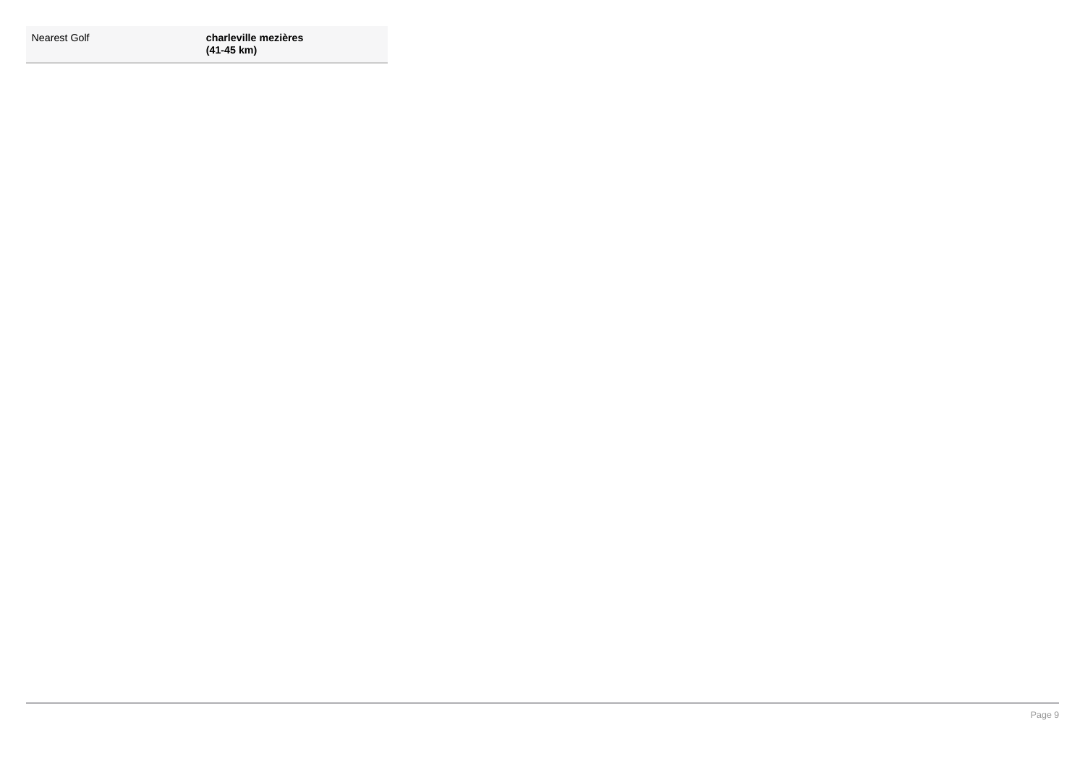| Nearest Golf |  |
|--------------|--|
|--------------|--|

Nearest Golf **charleville mezières (41-45 km)**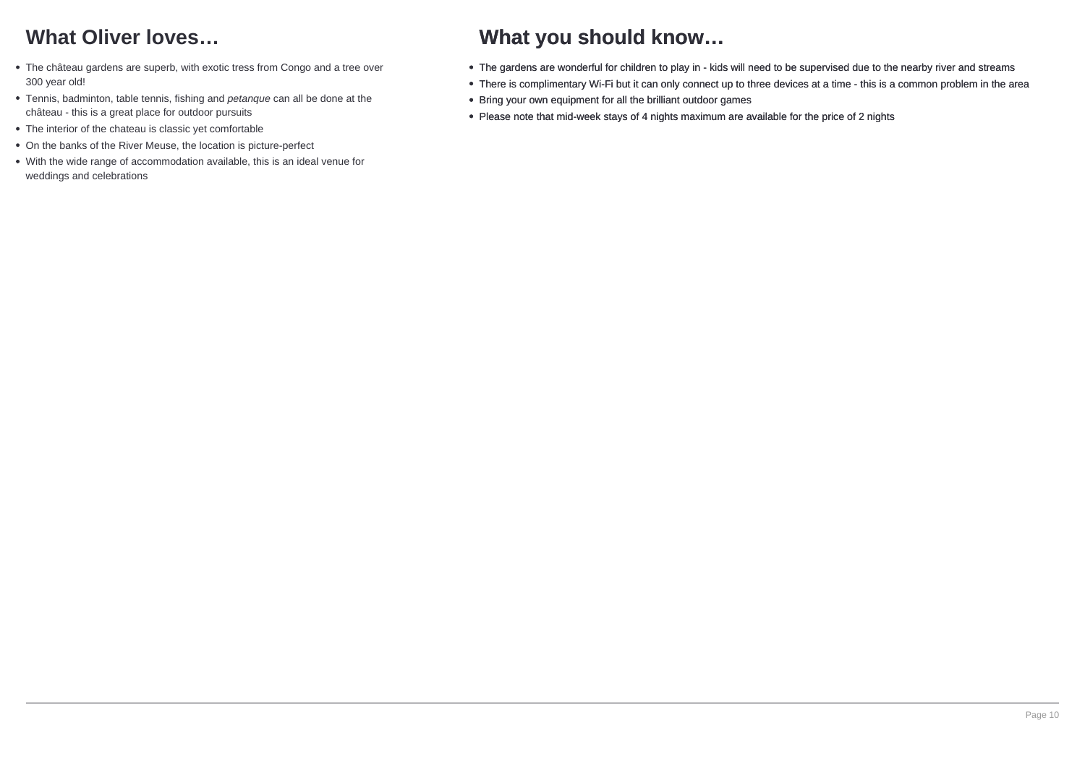# **What Oliver loves…**

- The château gardens are superb, with exotic tress from Congo and a tree over 300 year old!
- Tennis, badminton, table tennis, fishing and petanque can all be done at the château - this is a great place for outdoor pursuits
- The interior of the chateau is classic vet comfortable
- On the banks of the River Meuse, the location is picture-perfect
- With the wide range of accommodation available, this is an ideal venue for weddings and celebrations

## **What you should know…**

- The gardens are wonderful for children to play in kids will need to be supervised due to the nearby river and streams
- There is complimentary Wi-Fi but it can only connect up to three devices at a time this is a common problem in the area
- Bring your own equipment for all the brilliant outdoor games
- Please note that mid-week stays of 4 nights maximum are available for the price of 2 nights